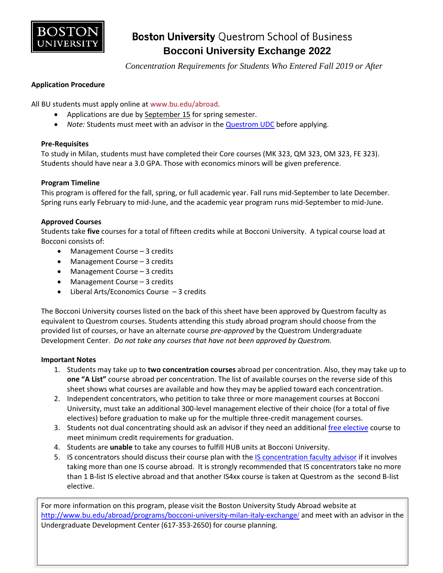

# **Boston University Questrom School of Business Bocconi University Exchange 2022**

 *Concentration Requirements for Students Who Entered Fall 2019 or After*

### **Application Procedure**

All BU students must apply online a[t www.bu.edu/abroad.](http://www.bu.edu/abroad)

- Applications are due by September 15 for spring semester.
- *Note:* Students must meet with an advisor in the [Questrom UDC](http://questromworld.bu.edu/studyabroad/advising/) before applying.

### **Pre-Requisites**

To study in Milan, students must have completed their Core courses (MK 323, QM 323, OM 323, FE 323). Students should have near a 3.0 GPA. Those with economics minors will be given preference.

### **Program Timeline**

This program is offered for the fall, spring, or full academic year. Fall runs mid-September to late December. Spring runs early February to mid-June, and the academic year program runs mid-September to mid-June.

### **Approved Courses**

Students take **five** courses for a total of fifteen credits while at Bocconi University. A typical course load at Bocconi consists of:

- Management Course 3 credits
- Management Course 3 credits
- Management Course 3 credits
- Management Course 3 credits
- Liberal Arts/Economics Course 3 credits

The Bocconi University courses listed on the back of this sheet have been approved by Questrom faculty as equivalent to Questrom courses. Students attending this study abroad program should choose from the provided list of courses, or have an alternate course *pre-approved* by the Questrom Undergraduate Development Center. *Do not take any courses that have not been approved by Questrom.*

### **Important Notes**

- 1. Students may take up to **two concentration courses** abroad per concentration. Also, they may take up to **one "A List"** course abroad per concentration. The list of available courses on the reverse side of this sheet shows what courses are available and how they may be applied toward each concentration.
- 2. Independent concentrators, who petition to take three or more management courses at Bocconi University, must take an additional 300-level management elective of their choice (for a total of five electives) before graduation to make up for the multiple three-credit management courses.
- 3. Students not dual concentrating should ask an advisor if they need an additiona[l free elective](http://questromworld.bu.edu/udc/academics/curriculum/) course to meet minimum credit requirements for graduation.
- 4. Students are **unable** to take any courses to fulfill HUB units at Bocconi University.
- 5. IS concentrators should discuss their course plan with the [IS concentration faculty advisor](http://questromworld.bu.edu/udc/academics/concentrations/#tab-id-5) if it involves taking more than one IS course abroad. It is strongly recommended that IS concentrators take no more than 1 B-list IS elective abroad and that another IS4xx course is taken at Questrom as the second B-list elective.

For more information on this program, please visit the Boston University Study Abroad website at [http://www.bu.edu/abroad/programs/bocconi-university-milan-italy-exchange](http://www.bu.edu/abroad/programs/bocconi-university-milan-italy-exchange/)/ and meet with an advisor in the Undergraduate Development Center (617-353-2650) for course planning.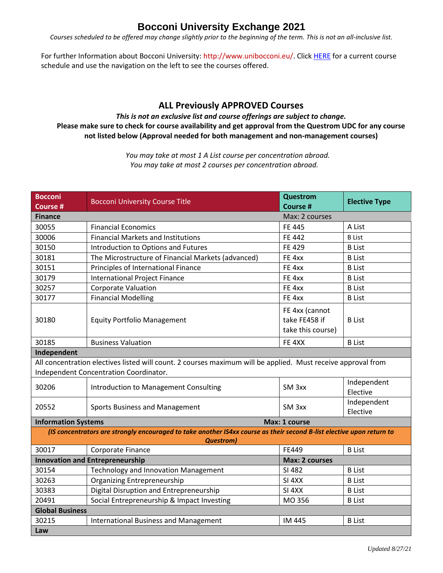### **Bocconi University Exchange 2021**

*Courses scheduled to be offered may change slightly prior to the beginning of the term. This is not an all-inclusive list.*

For further Information about Bocconi University: http://www.unibocconi.eu/. Clic[k HERE](http://didattica.unibocconi.eu/ts/index.php?anno=2020) for a current course schedule and use the navigation on the left to see the courses offered.

### **ALL Previously APPROVED Courses**

### *This is not an exclusive list and course offerings are subject to change.* **Please make sure to check for course availability and get approval from the Questrom UDC for any course not listed below (Approval needed for both management and non-management courses)**

*You may take at most 1 A List course per concentration abroad. You may take at most 2 courses per concentration abroad.*

| <b>Bocconi</b><br><b>Course #</b>                                                                                                                      | <b>Bocconi University Course Title</b>             | Questrom<br><b>Course #</b>                          | <b>Elective Type</b>    |  |  |
|--------------------------------------------------------------------------------------------------------------------------------------------------------|----------------------------------------------------|------------------------------------------------------|-------------------------|--|--|
| <b>Finance</b><br>Max: 2 courses                                                                                                                       |                                                    |                                                      |                         |  |  |
| 30055                                                                                                                                                  | <b>Financial Economics</b>                         | <b>FE 445</b>                                        | A List                  |  |  |
| 30006                                                                                                                                                  | <b>Financial Markets and Institutions</b>          | <b>FE 442</b>                                        | <b>B</b> List           |  |  |
| 30150                                                                                                                                                  | Introduction to Options and Futures                | <b>FE 429</b>                                        | <b>B</b> List           |  |  |
| 30181                                                                                                                                                  | The Microstructure of Financial Markets (advanced) | FE 4xx                                               | <b>B</b> List           |  |  |
| 30151                                                                                                                                                  | Principles of International Finance                | FE 4xx                                               | <b>B</b> List           |  |  |
| 30179                                                                                                                                                  | International Project Finance                      | FE 4xx                                               | <b>B</b> List           |  |  |
| 30257                                                                                                                                                  | <b>Corporate Valuation</b>                         | FE 4xx                                               | <b>B</b> List           |  |  |
| 30177                                                                                                                                                  | <b>Financial Modelling</b>                         | FE 4xx                                               | <b>B</b> List           |  |  |
| 30180                                                                                                                                                  | <b>Equity Portfolio Management</b>                 | FE 4xx (cannot<br>take FE458 if<br>take this course) | <b>B</b> List           |  |  |
| 30185                                                                                                                                                  | <b>Business Valuation</b>                          | FE 4XX                                               | <b>B</b> List           |  |  |
| Independent                                                                                                                                            |                                                    |                                                      |                         |  |  |
| All concentration electives listed will count. 2 courses maximum will be applied. Must receive approval from<br>Independent Concentration Coordinator. |                                                    |                                                      |                         |  |  |
| 30206                                                                                                                                                  | Introduction to Management Consulting              | SM <sub>3xx</sub>                                    | Independent<br>Elective |  |  |
| 20552                                                                                                                                                  | Sports Business and Management                     | SM <sub>3xx</sub>                                    | Independent<br>Elective |  |  |
| Max: 1 course<br><b>Information Systems</b>                                                                                                            |                                                    |                                                      |                         |  |  |
| (IS concentrators are strongly encouraged to take another IS4xx course as their second B-list elective upon return to                                  |                                                    |                                                      |                         |  |  |
|                                                                                                                                                        | <b>Questrom</b>                                    |                                                      |                         |  |  |
| 30017                                                                                                                                                  | Corporate Finance                                  | FE449                                                | <b>B</b> List           |  |  |
|                                                                                                                                                        | <b>Innovation and Entrepreneurship</b>             | Max: 2 courses                                       |                         |  |  |
| 30154                                                                                                                                                  | Technology and Innovation Management               | SI 482                                               | <b>B</b> List           |  |  |
| 30263                                                                                                                                                  | <b>Organizing Entrepreneurship</b>                 | SI <sub>4XX</sub>                                    | <b>B</b> List           |  |  |
| 30383                                                                                                                                                  | Digital Disruption and Entrepreneurship            | SI <sub>4</sub> XX                                   | <b>B</b> List           |  |  |
| 20491                                                                                                                                                  | Social Entrepreneurship & Impact Investing         | MO 356                                               | <b>B</b> List           |  |  |
| <b>Global Business</b>                                                                                                                                 |                                                    |                                                      |                         |  |  |
| 30215                                                                                                                                                  | <b>International Business and Management</b>       | IM 445                                               | <b>B</b> List           |  |  |
| Law                                                                                                                                                    |                                                    |                                                      |                         |  |  |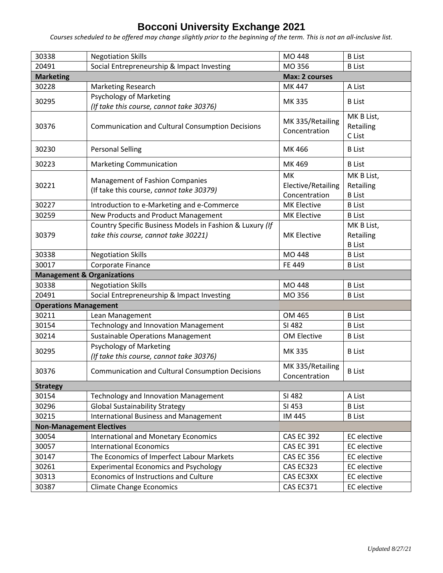## **Bocconi University Exchange 2021**

*Courses scheduled to be offered may change slightly prior to the beginning of the term. This is not an all-inclusive list.*

| 30338                                 | <b>Negotiation Skills</b>                                                                        | MO 448                                    | <b>B</b> List                            |  |  |
|---------------------------------------|--------------------------------------------------------------------------------------------------|-------------------------------------------|------------------------------------------|--|--|
| 20491                                 | Social Entrepreneurship & Impact Investing                                                       | MO 356                                    | <b>B</b> List                            |  |  |
| <b>Marketing</b>                      | <b>Max: 2 courses</b>                                                                            |                                           |                                          |  |  |
| 30228                                 | Marketing Research                                                                               | MK 447                                    | A List                                   |  |  |
| 30295                                 | <b>Psychology of Marketing</b><br>(If take this course, cannot take 30376)                       | <b>MK335</b>                              | <b>B</b> List                            |  |  |
| 30376                                 | <b>Communication and Cultural Consumption Decisions</b>                                          | MK 335/Retailing<br>Concentration         | MK B List,<br>Retailing<br>C List        |  |  |
| 30230                                 | <b>Personal Selling</b>                                                                          | MK 466                                    | <b>B</b> List                            |  |  |
| 30223                                 | <b>Marketing Communication</b>                                                                   | MK 469                                    | <b>B</b> List                            |  |  |
| 30221                                 | <b>Management of Fashion Companies</b><br>(If take this course, cannot take 30379)               | МK<br>Elective/Retailing<br>Concentration | MK B List,<br>Retailing<br><b>B</b> List |  |  |
| 30227                                 | Introduction to e-Marketing and e-Commerce                                                       | <b>MK Elective</b>                        | <b>B</b> List                            |  |  |
| 30259                                 | New Products and Product Management                                                              | <b>MK Elective</b>                        | <b>B</b> List                            |  |  |
| 30379                                 | Country Specific Business Models in Fashion & Luxury (If<br>take this course, cannot take 30221) | <b>MK Elective</b>                        | MK B List,<br>Retailing<br><b>B</b> List |  |  |
| 30338                                 | <b>Negotiation Skills</b>                                                                        | MO 448                                    | <b>B</b> List                            |  |  |
| 30017                                 | Corporate Finance                                                                                | FE 449                                    | <b>B</b> List                            |  |  |
| <b>Management &amp; Organizations</b> |                                                                                                  |                                           |                                          |  |  |
| 30338                                 | <b>Negotiation Skills</b>                                                                        | MO 448                                    | <b>B</b> List                            |  |  |
| 20491                                 | Social Entrepreneurship & Impact Investing                                                       | MO 356                                    | <b>B</b> List                            |  |  |
| <b>Operations Management</b>          |                                                                                                  |                                           |                                          |  |  |
| 30211                                 | Lean Management                                                                                  | OM 465                                    | <b>B</b> List                            |  |  |
| 30154                                 | <b>Technology and Innovation Management</b>                                                      | SI 482                                    | <b>B</b> List                            |  |  |
| 30214                                 | <b>Sustainable Operations Management</b>                                                         | OM Elective                               | <b>B</b> List                            |  |  |
| 30295                                 | <b>Psychology of Marketing</b><br>(If take this course, cannot take 30376)                       | MK 335                                    | <b>B</b> List                            |  |  |
| 30376                                 | <b>Communication and Cultural Consumption Decisions</b>                                          | MK 335/Retailing<br>Concentration         | <b>B</b> List                            |  |  |
| <b>Strategy</b>                       |                                                                                                  |                                           |                                          |  |  |
| 30154                                 | Technology and Innovation Management                                                             | SI 482                                    | A List                                   |  |  |
| 30296                                 | <b>Global Sustainability Strategy</b>                                                            | SI 453                                    | <b>B</b> List                            |  |  |
| 30215                                 | <b>International Business and Management</b>                                                     | IM 445                                    | <b>B</b> List                            |  |  |
| <b>Non-Management Electives</b>       |                                                                                                  |                                           |                                          |  |  |
| 30054                                 | <b>International and Monetary Economics</b>                                                      | <b>CAS EC 392</b>                         | <b>EC</b> elective                       |  |  |
| 30057                                 | <b>International Economics</b>                                                                   | <b>CAS EC 391</b>                         | <b>EC</b> elective                       |  |  |
| 30147                                 | The Economics of Imperfect Labour Markets                                                        | <b>CAS EC 356</b>                         | <b>EC</b> elective                       |  |  |
| 30261                                 | <b>Experimental Economics and Psychology</b>                                                     | CAS EC323                                 | <b>EC</b> elective                       |  |  |
| 30313                                 | Economics of Instructions and Culture                                                            | CAS EC3XX                                 | <b>EC</b> elective                       |  |  |
| 30387                                 | <b>Climate Change Economics</b>                                                                  | CAS EC371                                 | EC elective                              |  |  |